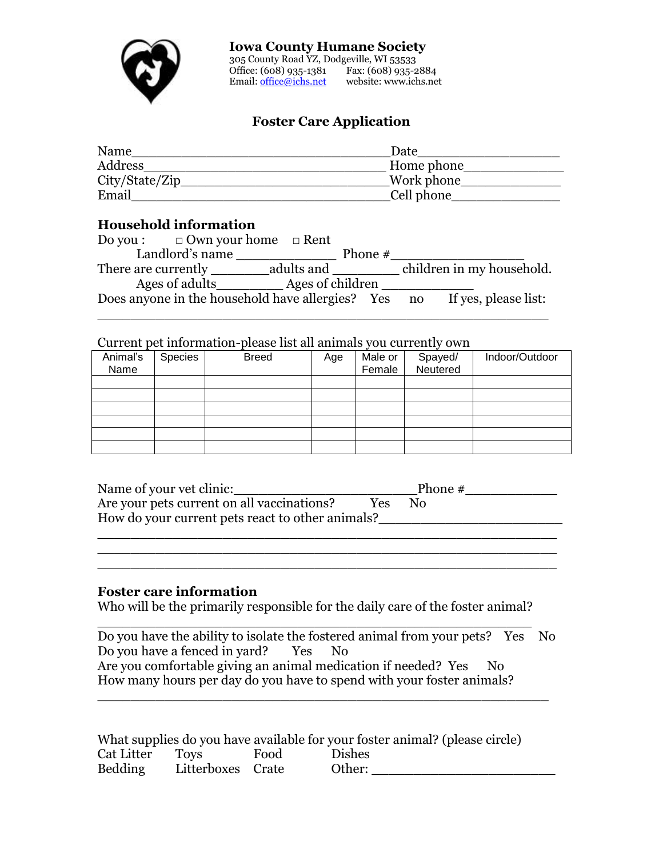

#### **Iowa County Humane Society**

305 County Road YZ, Dodgeville, WI 53533 Office: (608) 935-1381 Fax: (608) 935-2884 Email[: office@ichs.net](mailto:office@ichs.net) website: www.ichs.net

# **Foster Care Application**

| Name            | Date       |
|-----------------|------------|
| Address         | Home phone |
| City/State/Zip_ | Work phone |
| Email           | Cell phone |

### **Household information**

| Do you: $\Box$ Own your home $\Box$ Rent |            |           |                                                                          |
|------------------------------------------|------------|-----------|--------------------------------------------------------------------------|
| Landlord's name                          |            | Phone $#$ |                                                                          |
| There are currently                      | adults and |           | children in my household.                                                |
| Ages of adults Ages of children          |            |           |                                                                          |
|                                          |            |           | Does anyone in the household have allergies? Yes no If yes, please list: |
|                                          |            |           |                                                                          |

## Current pet information-please list all animals you currently own

| Animal's | Species | <b>Breed</b> | Age | Male or | Spayed/<br>Neutered | Indoor/Outdoor |
|----------|---------|--------------|-----|---------|---------------------|----------------|
| Name     |         |              |     | Female  |                     |                |
|          |         |              |     |         |                     |                |
|          |         |              |     |         |                     |                |
|          |         |              |     |         |                     |                |
|          |         |              |     |         |                     |                |
|          |         |              |     |         |                     |                |
|          |         |              |     |         |                     |                |

| Name of your vet clinic:                         |            | Phone $#$ |  |
|--------------------------------------------------|------------|-----------|--|
| Are your pets current on all vaccinations?       | <b>Yes</b> | Nο        |  |
| How do your current pets react to other animals? |            |           |  |
|                                                  |            |           |  |

\_\_\_\_\_\_\_\_\_\_\_\_\_\_\_\_\_\_\_\_\_\_\_\_\_\_\_\_\_\_\_\_\_\_\_\_\_\_\_\_\_\_\_\_\_\_\_\_\_\_\_\_\_\_\_ \_\_\_\_\_\_\_\_\_\_\_\_\_\_\_\_\_\_\_\_\_\_\_\_\_\_\_\_\_\_\_\_\_\_\_\_\_\_\_\_\_\_\_\_\_\_\_\_\_\_\_\_\_\_\_

## **Foster care information**

Who will be the primarily responsible for the daily care of the foster animal?

| Do you have the ability to isolate the fostered animal from your pets? Yes No |  |
|-------------------------------------------------------------------------------|--|
| Do you have a fenced in yard?<br>Yes No                                       |  |
| Are you comfortable giving an animal medication if needed? Yes<br>No.         |  |
| How many hours per day do you have to spend with your foster animals?         |  |

\_\_\_\_\_\_\_\_\_\_\_\_\_\_\_\_\_\_\_\_\_\_\_\_\_\_\_\_\_\_\_\_\_\_\_\_\_\_\_\_\_\_\_\_\_\_\_\_\_\_\_\_\_\_

|                |                   |      | What supplies do you have available for your foster animal? (please circle) |
|----------------|-------------------|------|-----------------------------------------------------------------------------|
| Cat Litter     | Tovs              | Food | <b>Dishes</b>                                                               |
| <b>Bedding</b> | Litterboxes Crate |      | Other:                                                                      |